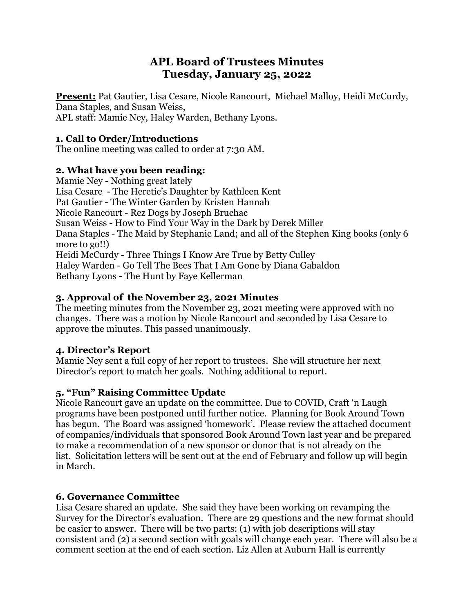# **APL Board of Trustees Minutes Tuesday, January 25, 2022**

**Present:** Pat Gautier, Lisa Cesare, Nicole Rancourt, Michael Malloy, Heidi McCurdy, Dana Staples, and Susan Weiss, APL staff: Mamie Ney, Haley Warden, Bethany Lyons.

## **1. Call to Order/Introductions**

The online meeting was called to order at 7:30 AM.

## **2. What have you been reading:**

Mamie Ney - Nothing great lately Lisa Cesare - The Heretic's Daughter by Kathleen Kent Pat Gautier - The Winter Garden by Kristen Hannah Nicole Rancourt - Rez Dogs by Joseph Bruchac Susan Weiss - How to Find Your Way in the Dark by Derek Miller Dana Staples - The Maid by Stephanie Land; and all of the Stephen King books (only 6 more to go!!) Heidi McCurdy - Three Things I Know Are True by Betty Culley Haley Warden - Go Tell The Bees That I Am Gone by Diana Gabaldon Bethany Lyons - The Hunt by Faye Kellerman

## **3. Approval of the November 23, 2021 Minutes**

The meeting minutes from the November 23, 2021 meeting were approved with no changes. There was a motion by Nicole Rancourt and seconded by Lisa Cesare to approve the minutes. This passed unanimously.

## **4. Director's Report**

Mamie Ney sent a full copy of her report to trustees. She will structure her next Director's report to match her goals. Nothing additional to report.

## **5. "Fun" Raising Committee Update**

Nicole Rancourt gave an update on the committee. Due to COVID, Craft 'n Laugh programs have been postponed until further notice. Planning for Book Around Town has begun. The Board was assigned 'homework'. Please review the attached document of companies/individuals that sponsored Book Around Town last year and be prepared to make a recommendation of a new sponsor or donor that is not already on the list. Solicitation letters will be sent out at the end of February and follow up will begin in March.

## **6. Governance Committee**

Lisa Cesare shared an update. She said they have been working on revamping the Survey for the Director's evaluation. There are 29 questions and the new format should be easier to answer. There will be two parts: (1) with job descriptions will stay consistent and (2) a second section with goals will change each year. There will also be a comment section at the end of each section. Liz Allen at Auburn Hall is currently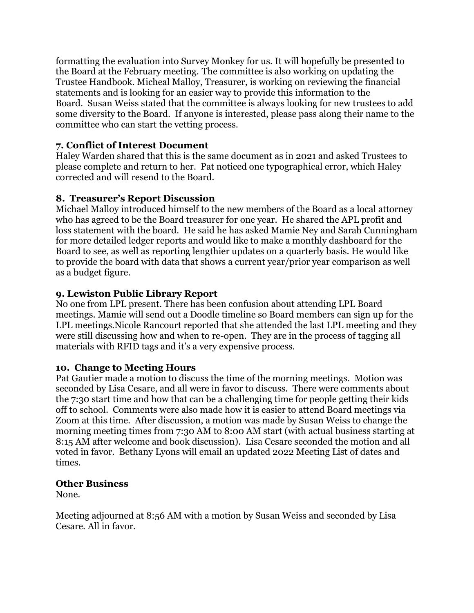formatting the evaluation into Survey Monkey for us. It will hopefully be presented to the Board at the February meeting. The committee is also working on updating the Trustee Handbook. Micheal Malloy, Treasurer, is working on reviewing the financial statements and is looking for an easier way to provide this information to the Board. Susan Weiss stated that the committee is always looking for new trustees to add some diversity to the Board. If anyone is interested, please pass along their name to the committee who can start the vetting process.

#### **7. Conflict of Interest Document**

Haley Warden shared that this is the same document as in 2021 and asked Trustees to please complete and return to her. Pat noticed one typographical error, which Haley corrected and will resend to the Board.

#### **8. Treasurer's Report Discussion**

Michael Malloy introduced himself to the new members of the Board as a local attorney who has agreed to be the Board treasurer for one year. He shared the APL profit and loss statement with the board. He said he has asked Mamie Ney and Sarah Cunningham for more detailed ledger reports and would like to make a monthly dashboard for the Board to see, as well as reporting lengthier updates on a quarterly basis. He would like to provide the board with data that shows a current year/prior year comparison as well as a budget figure.

#### **9. Lewiston Public Library Report**

No one from LPL present. There has been confusion about attending LPL Board meetings. Mamie will send out a Doodle timeline so Board members can sign up for the LPL meetings.Nicole Rancourt reported that she attended the last LPL meeting and they were still discussing how and when to re-open. They are in the process of tagging all materials with RFID tags and it's a very expensive process.

#### **10. Change to Meeting Hours**

Pat Gautier made a motion to discuss the time of the morning meetings. Motion was seconded by Lisa Cesare, and all were in favor to discuss. There were comments about the 7:30 start time and how that can be a challenging time for people getting their kids off to school. Comments were also made how it is easier to attend Board meetings via Zoom at this time. After discussion, a motion was made by Susan Weiss to change the morning meeting times from 7:30 AM to 8:00 AM start (with actual business starting at 8:15 AM after welcome and book discussion). Lisa Cesare seconded the motion and all voted in favor. Bethany Lyons will email an updated 2022 Meeting List of dates and times.

#### **Other Business**

None.

Meeting adjourned at 8:56 AM with a motion by Susan Weiss and seconded by Lisa Cesare. All in favor.